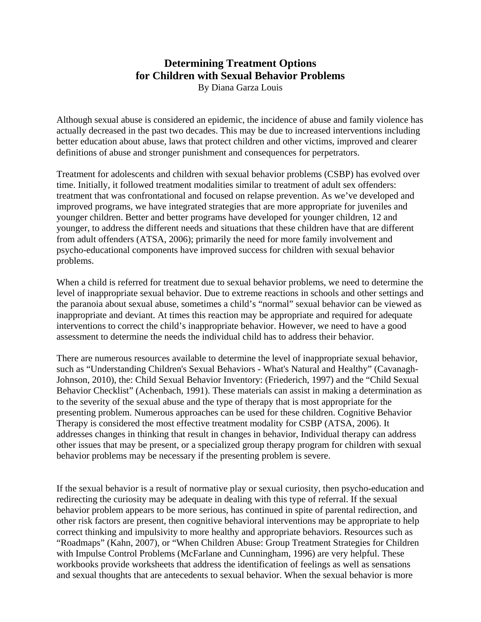## **Determining Treatment Options for Children with Sexual Behavior Problems**

By Diana Garza Louis

Although sexual abuse is considered an epidemic, the incidence of abuse and family violence has actually decreased in the past two decades. This may be due to increased interventions including better education about abuse, laws that protect children and other victims, improved and clearer definitions of abuse and stronger punishment and consequences for perpetrators.

Treatment for adolescents and children with sexual behavior problems (CSBP) has evolved over time. Initially, it followed treatment modalities similar to treatment of adult sex offenders: treatment that was confrontational and focused on relapse prevention. As we've developed and improved programs, we have integrated strategies that are more appropriate for juveniles and younger children. Better and better programs have developed for younger children, 12 and younger, to address the different needs and situations that these children have that are different from adult offenders (ATSA, 2006); primarily the need for more family involvement and psycho-educational components have improved success for children with sexual behavior problems.

When a child is referred for treatment due to sexual behavior problems, we need to determine the level of inappropriate sexual behavior. Due to extreme reactions in schools and other settings and the paranoia about sexual abuse, sometimes a child's "normal" sexual behavior can be viewed as inappropriate and deviant. At times this reaction may be appropriate and required for adequate interventions to correct the child's inappropriate behavior. However, we need to have a good assessment to determine the needs the individual child has to address their behavior.

There are numerous resources available to determine the level of inappropriate sexual behavior, such as "Understanding Children's Sexual Behaviors - What's Natural and Healthy" (Cavanagh-Johnson, 2010), the: Child Sexual Behavior Inventory: (Friederich, 1997) and the "Child Sexual Behavior Checklist" (Achenbach, 1991). These materials can assist in making a determination as to the severity of the sexual abuse and the type of therapy that is most appropriate for the presenting problem. Numerous approaches can be used for these children. Cognitive Behavior Therapy is considered the most effective treatment modality for CSBP (ATSA, 2006). It addresses changes in thinking that result in changes in behavior, Individual therapy can address other issues that may be present, or a specialized group therapy program for children with sexual behavior problems may be necessary if the presenting problem is severe.

If the sexual behavior is a result of normative play or sexual curiosity, then psycho-education and redirecting the curiosity may be adequate in dealing with this type of referral. If the sexual behavior problem appears to be more serious, has continued in spite of parental redirection, and other risk factors are present, then cognitive behavioral interventions may be appropriate to help correct thinking and impulsivity to more healthy and appropriate behaviors. Resources such as "Roadmaps" (Kahn, 2007), or "When Children Abuse: Group Treatment Strategies for Children with Impulse Control Problems (McFarlane and Cunningham, 1996) are very helpful. These workbooks provide worksheets that address the identification of feelings as well as sensations and sexual thoughts that are antecedents to sexual behavior. When the sexual behavior is more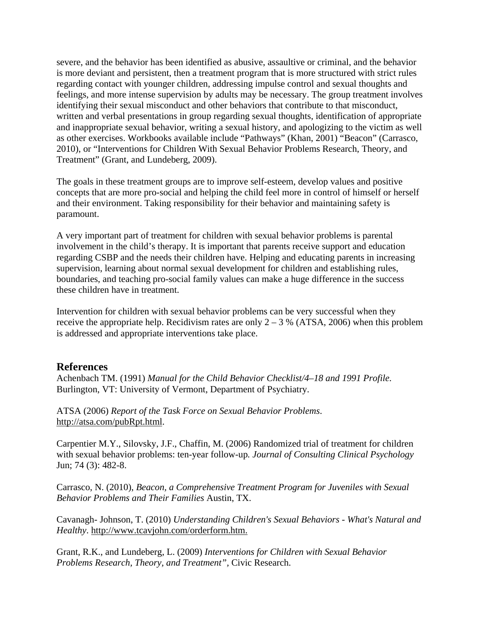severe, and the behavior has been identified as abusive, assaultive or criminal, and the behavior is more deviant and persistent, then a treatment program that is more structured with strict rules regarding contact with younger children, addressing impulse control and sexual thoughts and feelings, and more intense supervision by adults may be necessary. The group treatment involves identifying their sexual misconduct and other behaviors that contribute to that misconduct, written and verbal presentations in group regarding sexual thoughts, identification of appropriate and inappropriate sexual behavior, writing a sexual history, and apologizing to the victim as well as other exercises. Workbooks available include "Pathways" (Khan, 2001) "Beacon" (Carrasco, 2010), or "Interventions for Children With Sexual Behavior Problems Research, Theory, and Treatment" (Grant, and Lundeberg, 2009).

The goals in these treatment groups are to improve self-esteem, develop values and positive concepts that are more pro-social and helping the child feel more in control of himself or herself and their environment. Taking responsibility for their behavior and maintaining safety is paramount.

A very important part of treatment for children with sexual behavior problems is parental involvement in the child's therapy. It is important that parents receive support and education regarding CSBP and the needs their children have. Helping and educating parents in increasing supervision, learning about normal sexual development for children and establishing rules, boundaries, and teaching pro-social family values can make a huge difference in the success these children have in treatment.

Intervention for children with sexual behavior problems can be very successful when they receive the appropriate help. Recidivism rates are only  $2 - 3$  % (ATSA, 2006) when this problem is addressed and appropriate interventions take place.

## **References**

Achenbach TM. (1991) *Manual for the Child Behavior Checklist/4–18 and 1991 Profile.* Burlington, VT: University of Vermont, Department of Psychiatry.

ATSA (2006) *Report of the Task Force on Sexual Behavior Problems*. http://atsa.com/pubRpt.html.

Carpentier M.Y., Silovsky, J.F., Chaffin, M. (2006) Randomized trial of treatment for children with sexual behavior problems: ten-year follow-up*. Journal of Consulting Clinical Psychology* Jun; 74 (3): 482-8.

Carrasco, N. (2010), *Beacon, a Comprehensive Treatment Program for Juveniles with Sexual Behavior Problems and Their Families* Austin, TX.

Cavanagh- Johnson, T. (2010) *Understanding Children's Sexual Behaviors - What's Natural and Healthy*. http://www.tcavjohn.com/orderform.htm.

Grant, R.K., and Lundeberg, L. (2009) *Interventions for Children with Sexual Behavior Problems Research, Theory, and Treatment",* Civic Research.